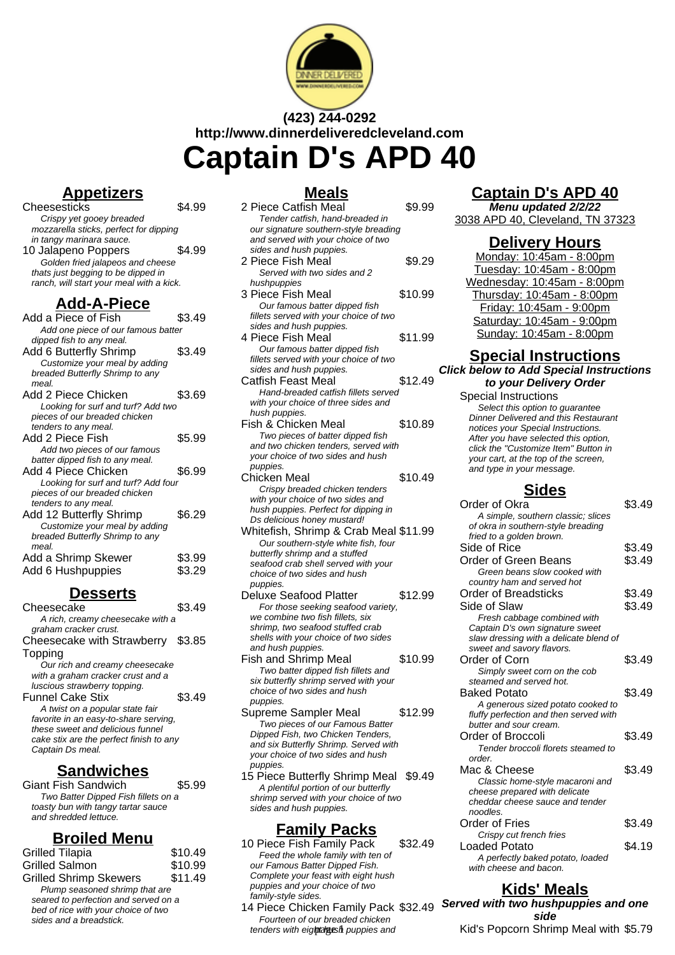

# **(423) 244-0292 http://www.dinnerdeliveredcleveland.com Captain D's APD 40**

### **Appetizers**

| Cheesesticks                             | . 99   |
|------------------------------------------|--------|
| Crispy yet gooey breaded                 |        |
| mozzarella sticks, perfect for dipping   |        |
| in tangy marinara sauce.                 |        |
| 10 Jalapeno Poppers                      | \$4.99 |
| Golden fried jalapeos and cheese         |        |
| thats just begging to be dipped in       |        |
| ranch, will start your meal with a kick. |        |
|                                          |        |
|                                          |        |
| <b>Add-A-Piece</b>                       |        |
| Add a Piece of Fish                      | \$3.49 |
| Add one piece of our famous batter       |        |
| dipped fish to any meal.                 |        |
| Add 6 Butterfly Shrimp                   | \$3.49 |
| Customize your meal by adding            |        |
| breaded Butterfly Shrimp to any          |        |

| Add 2 Piece Chicken                 | \$3.69 |
|-------------------------------------|--------|
| Looking for surf and turf? Add two  |        |
| pieces of our breaded chicken       |        |
| tenders to any meal.                |        |
| Add 2 Piece Fish                    | \$5.99 |
| Add two pieces of our famous        |        |
| batter dipped fish to any meal.     |        |
| Add 4 Piece Chicken                 | \$6.99 |
| Looking for surf and turf? Add four |        |
| pieces of our breaded chicken       |        |
| tenders to any meal.                |        |
| Add 12 Butterfly Shrimp             | \$6.29 |
| Customize your meal by adding       |        |
| breaded Butterfly Shrimp to any     |        |
| meal.                               |        |
| Add a Shrimp Skewer                 | \$3.99 |
| Add 6 Hushpuppies                   | \$3.29 |

#### **Desserts**

| Cheesecake                              |        |
|-----------------------------------------|--------|
| A rich, creamy cheesecake with a        |        |
| graham cracker crust.                   |        |
| Cheesecake with Strawberry              | \$3.85 |
| Topping                                 |        |
| Our rich and creamy cheesecake          |        |
| with a graham cracker crust and a       |        |
| luscious strawberry topping.            |        |
| <b>Funnel Cake Stix</b>                 | \$3.49 |
| A twist on a popular state fair         |        |
| favorite in an easy-to-share serving,   |        |
| these sweet and delicious funnel        |        |
| cake stix are the perfect finish to any |        |
| Captain Ds meal.                        |        |
|                                         |        |

### **Sandwiches**

Giant Fish Sandwich \$5.99 Two Batter Dipped Fish fillets on a toasty bun with tangy tartar sauce and shredded lettuce.

#### **Broiled Menu**

| Grilled Tilapia                                                                                                                          | \$10.49 |
|------------------------------------------------------------------------------------------------------------------------------------------|---------|
| Grilled Salmon                                                                                                                           | \$10.99 |
| <b>Grilled Shrimp Skewers</b>                                                                                                            | \$11.49 |
| Plump seasoned shrimp that are<br>seared to perfection and served on a<br>bed of rice with your choice of two<br>sides and a breadstick. |         |
|                                                                                                                                          |         |

### **Meals**

| www                                                       |         |   |
|-----------------------------------------------------------|---------|---|
| 2 Piece Catfish Meal                                      | \$9.99  |   |
| Tender catfish, hand-breaded in                           |         |   |
| our signature southern-style breading                     |         |   |
| and served with your choice of two                        |         |   |
| sides and hush puppies.                                   |         |   |
| 2 Piece Fish Meal                                         | \$9.29  |   |
| Served with two sides and 2                               |         |   |
| hushpuppies                                               |         |   |
| 3 Piece Fish Meal                                         | \$10.99 |   |
| Our famous batter dipped fish                             |         |   |
| fillets served with your choice of two                    |         |   |
| sides and hush puppies.                                   |         |   |
|                                                           |         |   |
| 4 Piece Fish Meal                                         | \$11.99 |   |
| Our famous batter dipped fish                             |         |   |
| fillets served with your choice of two                    |         |   |
| sides and hush puppies.                                   |         | ( |
| Catfish Feast Meal                                        | \$12.49 |   |
| Hand-breaded catfish fillets served                       |         |   |
| with your choice of three sides and                       |         |   |
| hush puppies.                                             |         |   |
| Fish & Chicken Meal                                       | \$10.89 |   |
| Two pieces of batter dipped fish                          |         |   |
| and two chicken tenders, served with                      |         |   |
| your choice of two sides and hush                         |         |   |
| puppies.                                                  |         |   |
| Chicken Meal                                              | \$10.49 |   |
| Crispy breaded chicken tenders                            |         |   |
| with your choice of two sides and                         |         |   |
| hush puppies. Perfect for dipping in                      |         |   |
| Ds delicious honey mustard!                               |         |   |
| Whitefish, Shrimp & Crab Meal \$11.99                     |         |   |
| Our southern-style white fish, four                       |         |   |
| butterfly shrimp and a stuffed                            |         |   |
| seafood crab shell served with your                       |         |   |
| choice of two sides and hush                              |         |   |
| puppies.                                                  |         |   |
| Deluxe Seafood Platter                                    | \$12.99 |   |
| For those seeking seafood variety,                        |         |   |
| we combine two fish fillets, six                          |         |   |
| shrimp, two seafood stuffed crab                          |         |   |
| shells with your choice of two sides                      |         |   |
| and hush puppies.                                         |         |   |
| Fish and Shrimp Meal                                      | \$10.99 |   |
| Two batter dipped fish fillets and                        |         |   |
| $i \cdot h \cdot \mu \cdot \mu h \cdot h \cdot h \cdot h$ |         |   |

- six butterfly shrimp served with your choice of two sides and hush puppies.
- Supreme Sampler Meal \$12.99 Two pieces of our Famous Batter Dipped Fish, two Chicken Tenders, and six Butterfly Shrimp. Served with your choice of two sides and hush puppies.
- 15 Piece Butterfly Shrimp Meal \$9.49 A plentiful portion of our butterfly shrimp served with your choice of two sides and hush puppies.

### **Family Packs**

- 10 Piece Fish Family Pack \$32.49 Feed the whole family with ten of our Famous Batter Dipped Fish. Complete your feast with eight hush puppies and your choice of two family-style sides.
- 14 Piece Chicken Family Pack \$32.49 Fourteen of our breaded chicken tenders with eight algesh puppies and

## **Captain D's APD 40**

**Menu updated 2/2/22** 3038 APD 40, Cleveland, TN 37323

#### **Delivery Hours**

Monday: 10:45am - 8:00pm Tuesday: 10:45am - 8:00pm Wednesday: 10:45am - 8:00pm Thursday: 10:45am - 8:00pm Friday: 10:45am - 9:00pm Saturday: 10:45am - 9:00pm Sunday: 10:45am - 8:00pm

#### **Special Instructions Click below to Add Special Instructions**

**to your Delivery Order** Special Instructions

Select this option to quarantee Dinner Delivered and this Restaurant notices your Special Instructions. After you have selected this option, click the "Customize Item" Button in your cart, at the top of the screen, and type in your message.

### **Sides**

| Order of Okra                          | \$3.49 |
|----------------------------------------|--------|
| A simple, southern classic; slices     |        |
| of okra in southern-style breading     |        |
| fried to a golden brown.               |        |
| Side of Rice                           | \$3.49 |
| Order of Green Beans                   | \$3.49 |
| Green beans slow cooked with           |        |
| country ham and served hot             |        |
| <b>Order of Breadsticks</b>            | \$3.49 |
| Side of Slaw                           | \$3.49 |
| Fresh cabbage combined with            |        |
| Captain D's own signature sweet        |        |
| slaw dressing with a delicate blend of |        |
| sweet and savory flavors.              |        |
| Order of Corn                          | \$3.49 |
| Simply sweet corn on the cob           |        |
| steamed and served hot.                |        |
| <b>Baked Potato</b>                    | \$3.49 |
| A generous sized potato cooked to      |        |
| fluffy perfection and then served with |        |
| butter and sour cream.                 |        |
| Order of Broccoli                      | \$3.49 |
| Tender broccoli florets steamed to     |        |
| order.                                 |        |
| Mac & Cheese                           | \$3.49 |
| Classic home-style macaroni and        |        |
| cheese prepared with delicate          |        |
| cheddar cheese sauce and tender        |        |
| noodles.                               |        |
| Order of Fries                         | \$3.49 |
| Crispy cut french fries                |        |
| Loaded Potato                          | \$4.19 |
| A perfectly baked potato, loaded       |        |
| with cheese and bacon.                 |        |

## **Kids' Meals**

**Served with two hushpuppies and one side** Kid's Popcorn Shrimp Meal with \$5.79